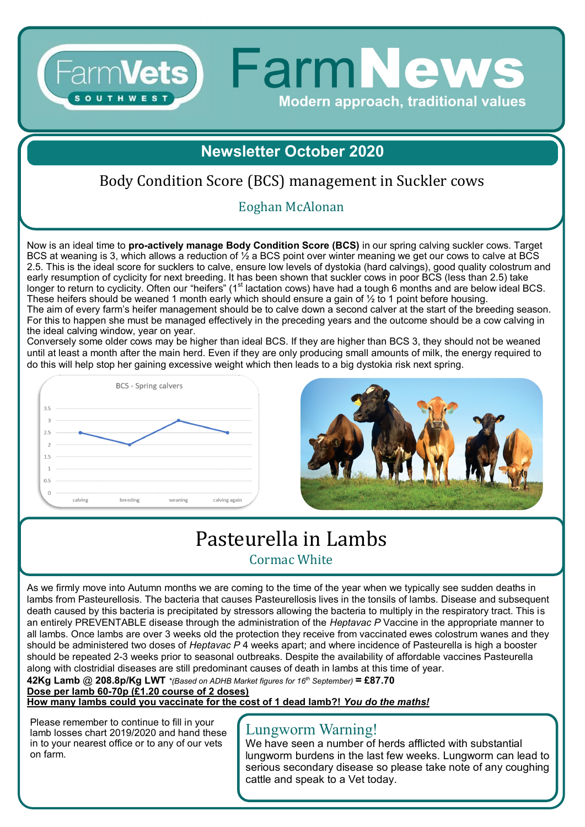## **Newsletter October 2020**

**FarmNews** 

**Modern approach, traditional values** 

### Body Condition Score (BCS) management in Suckler cows

#### Eoghan McAlonan

Now is an ideal time to **pro-actively manage Body Condition Score (BCS)** in our spring calving suckler cows. Target BCS at weaning is 3, which allows a reduction of ½ a BCS point over winter meaning we get our cows to calve at BCS 2.5. This is the ideal score for sucklers to calve, ensure low levels of dystokia (hard calvings), good quality colostrum and early resumption of cyclicity for next breeding. It has been shown that suckler cows in poor BCS (less than 2.5) take longer to return to cyclicity. Often our "heifers" (1<sup>st</sup> lactation cows) have had a tough 6 months and are below ideal BCS. These heifers should be weaned 1 month early which should ensure a gain of  $\frac{1}{2}$  to 1 point before housing. The aim of every farm's heifer management should be to calve down a second calver at the start of the breeding season. For this to happen she must be managed effectively in the preceding years and the outcome should be a cow calving in the ideal calving window, year on year.

Conversely some older cows may be higher than ideal BCS. If they are higher than BCS 3, they should not be weaned until at least a month after the main herd. Even if they are only producing small amounts of milk, the energy required to do this will help stop her gaining excessive weight which then leads to a big dystokia risk next spring.



Farm**Vets** 



## Pasteurella in Lambs Cormac White

As we firmly move into Autumn months we are coming to the time of the year when we typically see sudden deaths in lambs from Pasteurellosis. The bacteria that causes Pasteurellosis lives in the tonsils of lambs. Disease and subsequent death caused by this bacteria is precipitated by stressors allowing the bacteria to multiply in the respiratory tract. This is an entirely PREVENTABLE disease through the administration of the *Heptavac P* Vaccine in the appropriate manner to all lambs. Once lambs are over 3 weeks old the protection they receive from vaccinated ewes colostrum wanes and they should be administered two doses of *Heptavac P* 4 weeks apart; and where incidence of Pasteurella is high a booster should be repeated 2-3 weeks prior to seasonal outbreaks. Despite the availability of affordable vaccines Pasteurella along with clostridial diseases are still predominant causes of death in lambs at this time of year.

**42Kg Lamb** @ **208.8p/Kg LWT** *\*(Based on ADHB Market figures for 16th September)* **= £87.70 Dose per lamb 60-70p (£1.20 course of 2 doses)** 

**How many lambs could you vaccinate for the cost of 1 dead lamb?!** *You do the maths!*

Please remember to continue to fill in your lamb losses chart 2019/2020 and hand these in to your nearest office or to any of our vets on farm.

#### Lungworm Warning!

We have seen a number of herds afflicted with substantial lungworm burdens in the last few weeks. Lungworm can lead to serious secondary disease so please take note of any coughing cattle and speak to a Vet today.